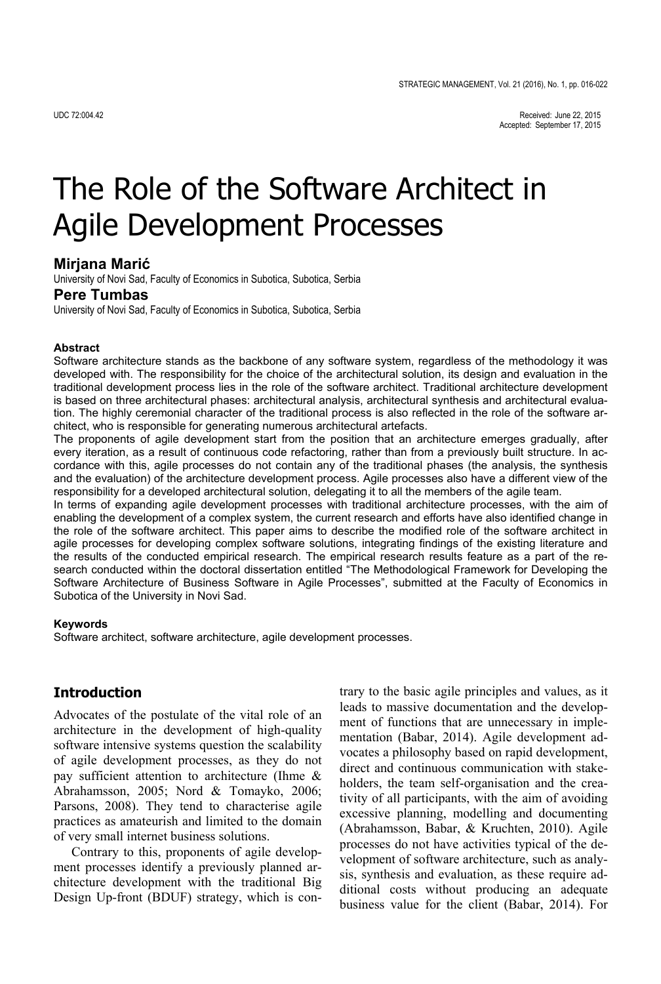# The Role of the Software Architect in Agile Development Processes

## **Mirjana Marić**

University of Novi Sad, Faculty of Economics in Subotica, Subotica, Serbia

## **Pere Tumbas**

University of Novi Sad, Faculty of Economics in Subotica, Subotica, Serbia

## **Abstract**

Software architecture stands as the backbone of any software system, regardless of the methodology it was developed with. The responsibility for the choice of the architectural solution, its design and evaluation in the traditional development process lies in the role of the software architect. Traditional architecture development is based on three architectural phases: architectural analysis, architectural synthesis and architectural evaluation. The highly ceremonial character of the traditional process is also reflected in the role of the software architect, who is responsible for generating numerous architectural artefacts.

The proponents of agile development start from the position that an architecture emerges gradually, after every iteration, as a result of continuous code refactoring, rather than from a previously built structure. In accordance with this, agile processes do not contain any of the traditional phases (the analysis, the synthesis and the evaluation) of the architecture development process. Agile processes also have a different view of the responsibility for a developed architectural solution, delegating it to all the members of the agile team.

In terms of expanding agile development processes with traditional architecture processes, with the aim of enabling the development of a complex system, the current research and efforts have also identified change in the role of the software architect. This paper aims to describe the modified role of the software architect in agile processes for developing complex software solutions, integrating findings of the existing literature and the results of the conducted empirical research. The empirical research results feature as a part of the research conducted within the doctoral dissertation entitled "The Methodological Framework for Developing the Software Architecture of Business Software in Agile Processes", submitted at the Faculty of Economics in Subotica of the University in Novi Sad.

### **Keywords**

Software architect, software architecture, agile development processes.

## **Introduction**

Advocates of the postulate of the vital role of an architecture in the development of high-quality software intensive systems question the scalability of agile development processes, as they do not pay sufficient attention to architecture (Ihme & Abrahamsson, 2005; Nord & Tomayko, 2006; Parsons, 2008). They tend to characterise agile practices as amateurish and limited to the domain of very small internet business solutions.

Contrary to this, proponents of agile development processes identify a previously planned architecture development with the traditional Big Design Up-front (BDUF) strategy, which is contrary to the basic agile principles and values, as it leads to massive documentation and the development of functions that are unnecessary in implementation (Babar, 2014). Agile development advocates a philosophy based on rapid development, direct and continuous communication with stakeholders, the team self-organisation and the creativity of all participants, with the aim of avoiding excessive planning, modelling and documenting (Abrahamsson, Babar, & Kruchten, 2010). Agile processes do not have activities typical of the development of software architecture, such as analysis, synthesis and evaluation, as these require additional costs without producing an adequate business value for the client (Babar, 2014). For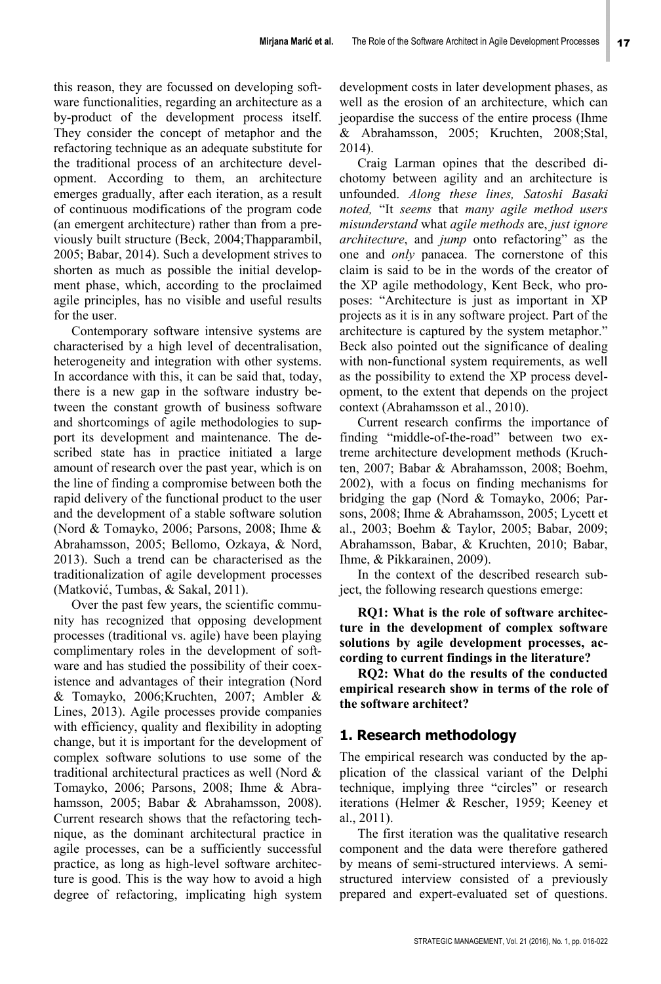this reason, they are focussed on developing software functionalities, regarding an architecture as a by-product of the development process itself. They consider the concept of metaphor and the refactoring technique as an adequate substitute for the traditional process of an architecture development. According to them, an architecture emerges gradually, after each iteration, as a result of continuous modifications of the program code (an emergent architecture) rather than from a previously built structure (Beck, 2004;Thapparambil, 2005; Babar, 2014). Such a development strives to shorten as much as possible the initial development phase, which, according to the proclaimed agile principles, has no visible and useful results for the user.

Contemporary software intensive systems are characterised by a high level of decentralisation, heterogeneity and integration with other systems. In accordance with this, it can be said that, today, there is a new gap in the software industry between the constant growth of business software and shortcomings of agile methodologies to support its development and maintenance. The described state has in practice initiated a large amount of research over the past year, which is on the line of finding a compromise between both the rapid delivery of the functional product to the user and the development of a stable software solution (Nord & Tomayko, 2006; Parsons, 2008; Ihme & Abrahamsson, 2005; Bellomo, Ozkaya, & Nord, 2013). Such a trend can be characterised as the traditionalization of agile development processes (Matković, Tumbas, & Sakal, 2011).

Over the past few years, the scientific community has recognized that opposing development processes (traditional vs. agile) have been playing complimentary roles in the development of software and has studied the possibility of their coexistence and advantages of their integration (Nord & Tomayko, 2006;Kruchten, 2007; Ambler & Lines, 2013). Agile processes provide companies with efficiency, quality and flexibility in adopting change, but it is important for the development of complex software solutions to use some of the traditional architectural practices as well (Nord & Tomayko, 2006; Parsons, 2008; Ihme & Abrahamsson, 2005; Babar & Abrahamsson, 2008). Current research shows that the refactoring technique, as the dominant architectural practice in agile processes, can be a sufficiently successful practice, as long as high-level software architecture is good. This is the way how to avoid a high degree of refactoring, implicating high system

development costs in later development phases, as well as the erosion of an architecture, which can jeopardise the success of the entire process (Ihme & Abrahamsson, 2005; Kruchten, 2008;Stal, 2014).

Craig Larman opines that the described dichotomy between agility and an architecture is unfounded. *Along these lines, Satoshi Basaki noted,* "It *seems* that *many agile method users misunderstand* what *agile methods* are, *just ignore architecture*, and *jump* onto refactoring" as the one and *only* panacea. The cornerstone of this claim is said to be in the words of the creator of the XP agile methodology, Kent Beck, who proposes: "Architecture is just as important in XP projects as it is in any software project. Part of the architecture is captured by the system metaphor." Beck also pointed out the significance of dealing with non-functional system requirements, as well as the possibility to extend the XP process development, to the extent that depends on the project context (Abrahamsson et al., 2010).

Current research confirms the importance of finding "middle-of-the-road" between two extreme architecture development methods (Kruchten, 2007; Babar & Abrahamsson, 2008; Boehm, 2002), with a focus on finding mechanisms for bridging the gap (Nord & Tomayko, 2006; Parsons, 2008; Ihme & Abrahamsson, 2005; Lycett et al., 2003; Boehm & Taylor, 2005; Babar, 2009; Abrahamsson, Babar, & Kruchten, 2010; Babar, Ihme, & Pikkarainen, 2009).

In the context of the described research subject, the following research questions emerge:

**RQ1: What is the role of software architecture in the development of complex software solutions by agile development processes, according to current findings in the literature?** 

**RQ2: What do the results of the conducted empirical research show in terms of the role of the software architect?**

# **1. Research methodology**

The empirical research was conducted by the application of the classical variant of the Delphi technique, implying three "circles" or research iterations (Helmer & Rescher, 1959; Keeney et al., 2011).

The first iteration was the qualitative research component and the data were therefore gathered by means of semi-structured interviews. A semistructured interview consisted of a previously prepared and expert-evaluated set of questions.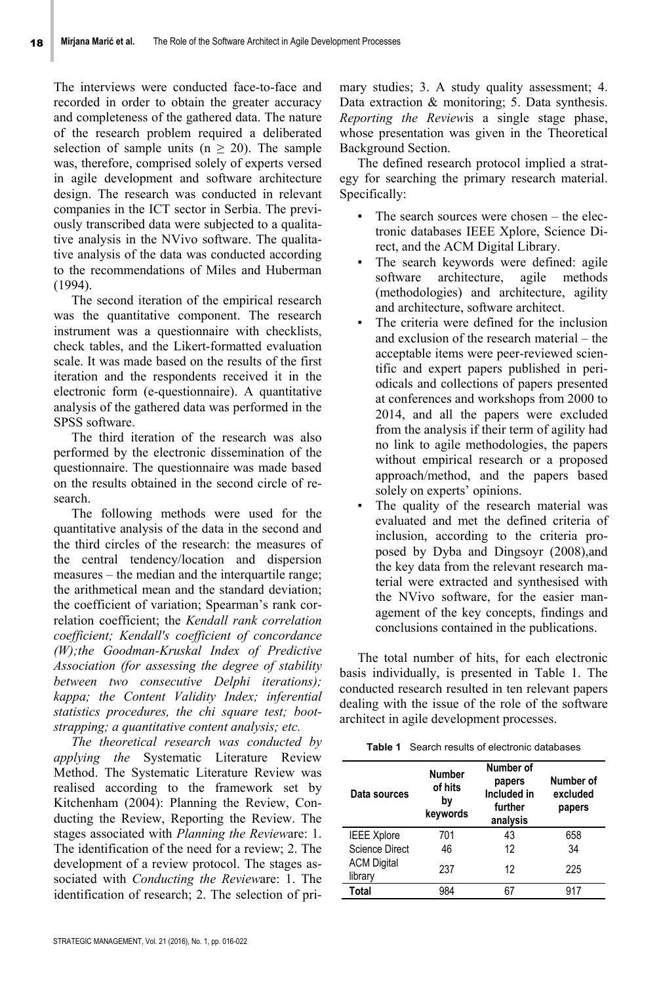The interviews were conducted face-to-face and recorded in order to obtain the greater accuracy and completeness of the gathered data. The nature of the research problem required a deliberated selection of sample units ( $n \geq 20$ ). The sample was, therefore, comprised solely of experts versed in agile development and software architecture design. The research was conducted in relevant companies in the ICT sector in Serbia. The previously transcribed data were subjected to a qualitative analysis in the NVivo software. The qualitative analysis of the data was conducted according to the recommendations of Miles and Huberman (1994).

The second iteration of the empirical research was the quantitative component. The research instrument was a questionnaire with checklists, check tables, and the Likert-formatted evaluation scale. It was made based on the results of the first iteration and the respondents received it in the electronic form (e-questionnaire). A quantitative analysis of the gathered data was performed in the SPSS software.

The third iteration of the research was also performed by the electronic dissemination of the questionnaire. The questionnaire was made based on the results obtained in the second circle of research.

The following methods were used for the quantitative analysis of the data in the second and the third circles of the research: the measures of the central tendency/location and dispersion measures – the median and the interquartile range; the arithmetical mean and the standard deviation; the coefficient of variation; Spearman's rank correlation coefficient; the *Kendall rank correlation coefficient; Kendall's coefficient of concordance (W);the Goodman-Kruskal Index of Predictive Association (for assessing the degree of stability between two consecutive Delphi iterations); kappa; the Content Validity Index; inferential statistics procedures, the chi square test; bootstrapping; a quantitative content analysis; etc.*

*The theoretical research was conducted by applying the* Systematic Literature Review Method. The Systematic Literature Review was realised according to the framework set by Kitchenham (2004): Planning the Review, Conducting the Review, Reporting the Review. The stages associated with *Planning the Review*are: 1. The identification of the need for a review; 2. The development of a review protocol. The stages associated with *Conducting the Review*are: 1. The identification of research; 2. The selection of primary studies; 3. A study quality assessment; 4. Data extraction & monitoring; 5. Data synthesis. *Reporting the Review*is a single stage phase, whose presentation was given in the Theoretical Background Section.

The defined research protocol implied a strategy for searching the primary research material. Specifically:

- The search sources were chosen the electronic databases IEEE Xplore, Science Direct, and the ACM Digital Library.
- The search keywords were defined: agile software architecture, agile methods (methodologies) and architecture, agility and architecture, software architect.
- The criteria were defined for the inclusion and exclusion of the research material – the acceptable items were peer-reviewed scientific and expert papers published in periodicals and collections of papers presented at conferences and workshops from 2000 to 2014, and all the papers were excluded from the analysis if their term of agility had no link to agile methodologies, the papers without empirical research or a proposed approach/method, and the papers based solely on experts' opinions.
- The quality of the research material was evaluated and met the defined criteria of inclusion, according to the criteria proposed by Dyba and Dingsoyr (2008),and the key data from the relevant research material were extracted and synthesised with the NVivo software, for the easier management of the key concepts, findings and conclusions contained in the publications.

The total number of hits, for each electronic basis individually, is presented in Table 1. The conducted research resulted in ten relevant papers dealing with the issue of the role of the software architect in agile development processes.

**Table 1** Search results of electronic databases

| Data sources                  | <b>Number</b><br>of hits<br>bv<br>keywords | Number of<br>papers<br>Included in<br>further<br>analysis | Number of<br>excluded<br>papers |
|-------------------------------|--------------------------------------------|-----------------------------------------------------------|---------------------------------|
| <b>IEEE Xplore</b>            | 701                                        | 43                                                        | 658                             |
| <b>Science Direct</b>         | 46                                         | 12                                                        | 34                              |
| <b>ACM Digital</b><br>library | 237                                        | 12                                                        | 225                             |
| Total                         | 984                                        |                                                           | 917                             |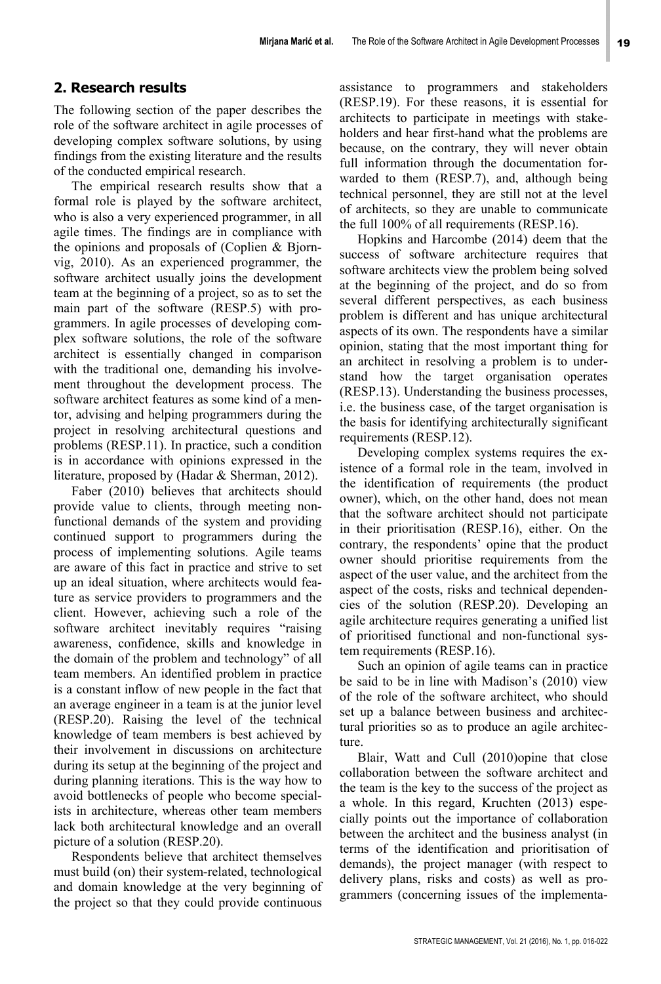# **2. Research results**

The following section of the paper describes the role of the software architect in agile processes of developing complex software solutions, by using findings from the existing literature and the results of the conducted empirical research.

The empirical research results show that a formal role is played by the software architect, who is also a very experienced programmer, in all agile times. The findings are in compliance with the opinions and proposals of (Coplien & Bjornvig, 2010). As an experienced programmer, the software architect usually joins the development team at the beginning of a project, so as to set the main part of the software (RESP.5) with programmers. In agile processes of developing complex software solutions, the role of the software architect is essentially changed in comparison with the traditional one, demanding his involvement throughout the development process. The software architect features as some kind of a mentor, advising and helping programmers during the project in resolving architectural questions and problems (RESP.11). In practice, such a condition is in accordance with opinions expressed in the literature, proposed by (Hadar & Sherman, 2012).

Faber (2010) believes that architects should provide value to clients, through meeting nonfunctional demands of the system and providing continued support to programmers during the process of implementing solutions. Agile teams are aware of this fact in practice and strive to set up an ideal situation, where architects would feature as service providers to programmers and the client. However, achieving such a role of the software architect inevitably requires "raising awareness, confidence, skills and knowledge in the domain of the problem and technology" of all team members. An identified problem in practice is a constant inflow of new people in the fact that an average engineer in a team is at the junior level (RESP.20). Raising the level of the technical knowledge of team members is best achieved by their involvement in discussions on architecture during its setup at the beginning of the project and during planning iterations. This is the way how to avoid bottlenecks of people who become specialists in architecture, whereas other team members lack both architectural knowledge and an overall picture of a solution (RESP.20).

Respondents believe that architect themselves must build (on) their system-related, technological and domain knowledge at the very beginning of the project so that they could provide continuous

assistance to programmers and stakeholders (RESP.19). For these reasons, it is essential for architects to participate in meetings with stakeholders and hear first-hand what the problems are because, on the contrary, they will never obtain full information through the documentation forwarded to them (RESP.7), and, although being technical personnel, they are still not at the level of architects, so they are unable to communicate the full 100% of all requirements (RESP.16).

Hopkins and Harcombe (2014) deem that the success of software architecture requires that software architects view the problem being solved at the beginning of the project, and do so from several different perspectives, as each business problem is different and has unique architectural aspects of its own. The respondents have a similar opinion, stating that the most important thing for an architect in resolving a problem is to understand how the target organisation operates (RESP.13). Understanding the business processes, i.e. the business case, of the target organisation is the basis for identifying architecturally significant requirements (RESP.12).

Developing complex systems requires the existence of a formal role in the team, involved in the identification of requirements (the product owner), which, on the other hand, does not mean that the software architect should not participate in their prioritisation (RESP.16), either. On the contrary, the respondents' opine that the product owner should prioritise requirements from the aspect of the user value, and the architect from the aspect of the costs, risks and technical dependencies of the solution (RESP.20). Developing an agile architecture requires generating a unified list of prioritised functional and non-functional system requirements (RESP.16).

Such an opinion of agile teams can in practice be said to be in line with Madison's (2010) view of the role of the software architect, who should set up a balance between business and architectural priorities so as to produce an agile architecture.

Blair, Watt and Cull (2010)opine that close collaboration between the software architect and the team is the key to the success of the project as a whole. In this regard, Kruchten (2013) especially points out the importance of collaboration between the architect and the business analyst (in terms of the identification and prioritisation of demands), the project manager (with respect to delivery plans, risks and costs) as well as programmers (concerning issues of the implementa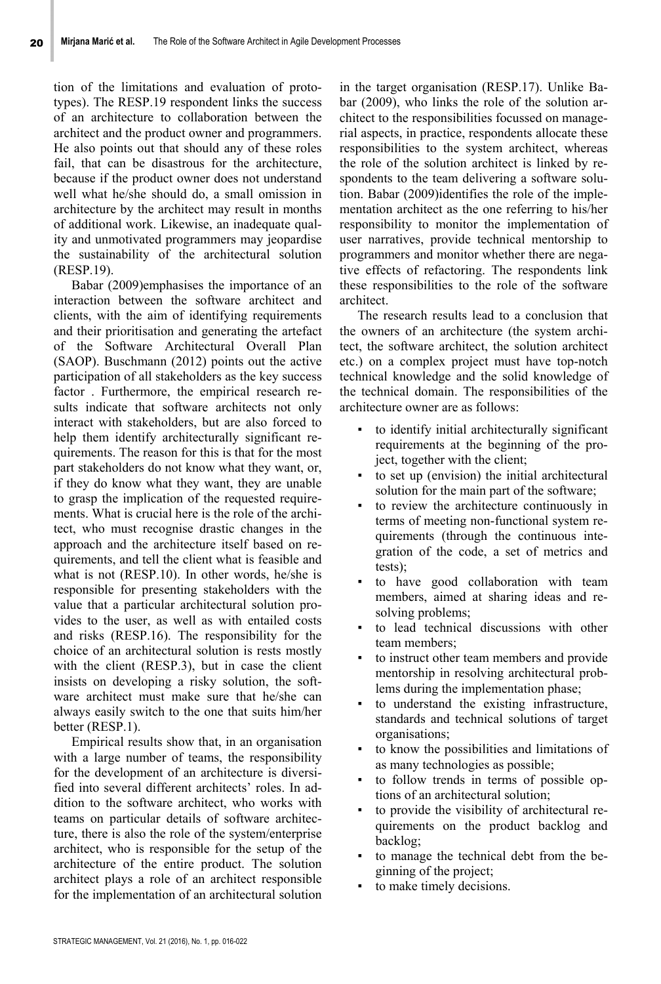tion of the limitations and evaluation of prototypes). The RESP.19 respondent links the success of an architecture to collaboration between the architect and the product owner and programmers. He also points out that should any of these roles fail, that can be disastrous for the architecture, because if the product owner does not understand well what he/she should do, a small omission in architecture by the architect may result in months of additional work. Likewise, an inadequate quality and unmotivated programmers may jeopardise the sustainability of the architectural solution (RESP.19).

Babar (2009)emphasises the importance of an interaction between the software architect and clients, with the aim of identifying requirements and their prioritisation and generating the artefact of the Software Architectural Overall Plan (SAOP). Buschmann (2012) points out the active participation of all stakeholders as the key success factor . Furthermore, the empirical research results indicate that software architects not only interact with stakeholders, but are also forced to help them identify architecturally significant requirements. The reason for this is that for the most part stakeholders do not know what they want, or, if they do know what they want, they are unable to grasp the implication of the requested requirements. What is crucial here is the role of the architect, who must recognise drastic changes in the approach and the architecture itself based on requirements, and tell the client what is feasible and what is not (RESP.10). In other words, he/she is responsible for presenting stakeholders with the value that a particular architectural solution provides to the user, as well as with entailed costs and risks (RESP.16). The responsibility for the choice of an architectural solution is rests mostly with the client (RESP.3), but in case the client insists on developing a risky solution, the software architect must make sure that he/she can always easily switch to the one that suits him/her better (RESP.1).

Empirical results show that, in an organisation with a large number of teams, the responsibility for the development of an architecture is diversified into several different architects' roles. In addition to the software architect, who works with teams on particular details of software architecture, there is also the role of the system/enterprise architect, who is responsible for the setup of the architecture of the entire product. The solution architect plays a role of an architect responsible for the implementation of an architectural solution

in the target organisation (RESP.17). Unlike Babar (2009), who links the role of the solution architect to the responsibilities focussed on managerial aspects, in practice, respondents allocate these responsibilities to the system architect, whereas the role of the solution architect is linked by respondents to the team delivering a software solution. Babar (2009)identifies the role of the implementation architect as the one referring to his/her responsibility to monitor the implementation of user narratives, provide technical mentorship to programmers and monitor whether there are negative effects of refactoring. The respondents link these responsibilities to the role of the software architect.

The research results lead to a conclusion that the owners of an architecture (the system architect, the software architect, the solution architect etc.) on a complex project must have top-notch technical knowledge and the solid knowledge of the technical domain. The responsibilities of the architecture owner are as follows:

- to identify initial architecturally significant requirements at the beginning of the project, together with the client;
- to set up (envision) the initial architectural solution for the main part of the software;
- to review the architecture continuously in terms of meeting non-functional system requirements (through the continuous integration of the code, a set of metrics and tests);
- to have good collaboration with team members, aimed at sharing ideas and resolving problems;
- to lead technical discussions with other team members;
- to instruct other team members and provide mentorship in resolving architectural problems during the implementation phase;
- to understand the existing infrastructure, standards and technical solutions of target organisations;
- to know the possibilities and limitations of as many technologies as possible;
- to follow trends in terms of possible options of an architectural solution;
- to provide the visibility of architectural requirements on the product backlog and backlog;
- to manage the technical debt from the beginning of the project;
- to make timely decisions.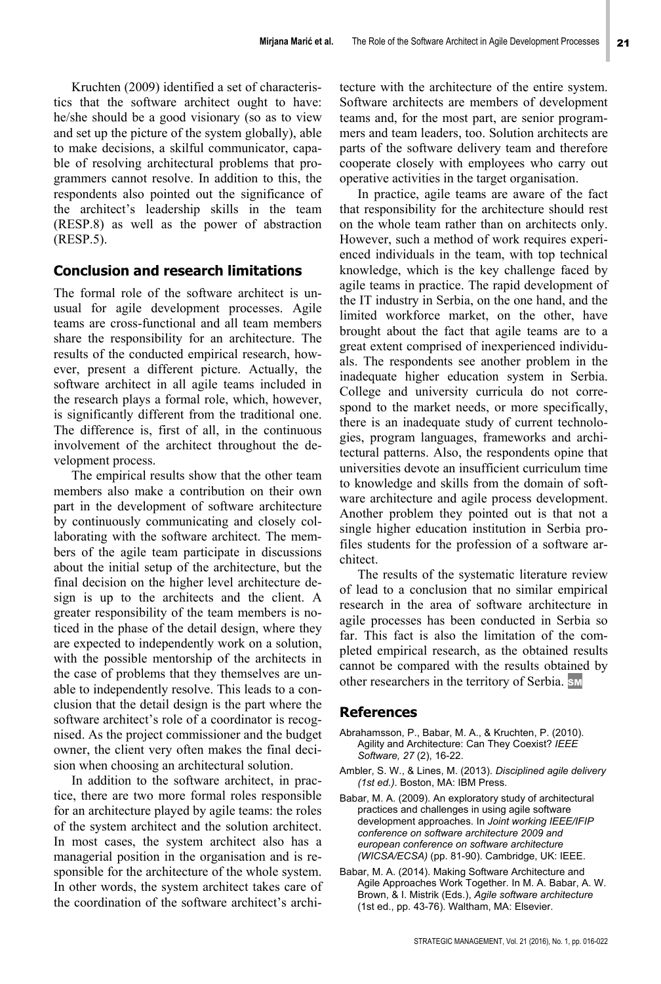Kruchten (2009) identified a set of characteristics that the software architect ought to have: he/she should be a good visionary (so as to view and set up the picture of the system globally), able to make decisions, a skilful communicator, capable of resolving architectural problems that programmers cannot resolve. In addition to this, the respondents also pointed out the significance of the architect's leadership skills in the team (RESP.8) as well as the power of abstraction (RESP.5).

# **Conclusion and research limitations**

The formal role of the software architect is unusual for agile development processes. Agile teams are cross-functional and all team members share the responsibility for an architecture. The results of the conducted empirical research, however, present a different picture. Actually, the software architect in all agile teams included in the research plays a formal role, which, however, is significantly different from the traditional one. The difference is, first of all, in the continuous involvement of the architect throughout the development process.

The empirical results show that the other team members also make a contribution on their own part in the development of software architecture by continuously communicating and closely collaborating with the software architect. The members of the agile team participate in discussions about the initial setup of the architecture, but the final decision on the higher level architecture design is up to the architects and the client. A greater responsibility of the team members is noticed in the phase of the detail design, where they are expected to independently work on a solution, with the possible mentorship of the architects in the case of problems that they themselves are unable to independently resolve. This leads to a conclusion that the detail design is the part where the software architect's role of a coordinator is recognised. As the project commissioner and the budget owner, the client very often makes the final decision when choosing an architectural solution.

In addition to the software architect, in practice, there are two more formal roles responsible for an architecture played by agile teams: the roles of the system architect and the solution architect. In most cases, the system architect also has a managerial position in the organisation and is responsible for the architecture of the whole system. In other words, the system architect takes care of the coordination of the software architect's architecture with the architecture of the entire system. Software architects are members of development teams and, for the most part, are senior programmers and team leaders, too. Solution architects are parts of the software delivery team and therefore cooperate closely with employees who carry out operative activities in the target organisation.

In practice, agile teams are aware of the fact that responsibility for the architecture should rest on the whole team rather than on architects only. However, such a method of work requires experienced individuals in the team, with top technical knowledge, which is the key challenge faced by agile teams in practice. The rapid development of the IT industry in Serbia, on the one hand, and the limited workforce market, on the other, have brought about the fact that agile teams are to a great extent comprised of inexperienced individuals. The respondents see another problem in the inadequate higher education system in Serbia. College and university curricula do not correspond to the market needs, or more specifically, there is an inadequate study of current technologies, program languages, frameworks and architectural patterns. Also, the respondents opine that universities devote an insufficient curriculum time to knowledge and skills from the domain of software architecture and agile process development. Another problem they pointed out is that not a single higher education institution in Serbia profiles students for the profession of a software architect.

The results of the systematic literature review of lead to a conclusion that no similar empirical research in the area of software architecture in agile processes has been conducted in Serbia so far. This fact is also the limitation of the completed empirical research, as the obtained results cannot be compared with the results obtained by other researchers in the territory of Serbia. SM

## **References**

- Abrahamsson, P., Babar, M. A., & Kruchten, P. (2010). Agility and Architecture: Can They Coexist? *IEEE Software, 27* (2), 16-22.
- Ambler, S. W., & Lines, M. (2013). *Disciplined agile delivery (1st ed.)*. Boston, MA: IBM Press.
- Babar, M. A. (2009). An exploratory study of architectural practices and challenges in using agile software development approaches. In *Joint working IEEE/IFIP conference on software architecture 2009 and european conference on software architecture (WICSA/ECSA)* (pp. 81-90). Cambridge, UK: IEEE.
- Babar, M. A. (2014). Making Software Architecture and Agile Approaches Work Together. In M. A. Babar, A. W. Brown, & I. Mistrik (Eds.), *Agile software architecture* (1st ed., pp. 43-76). Waltham, MA: Elsevier.